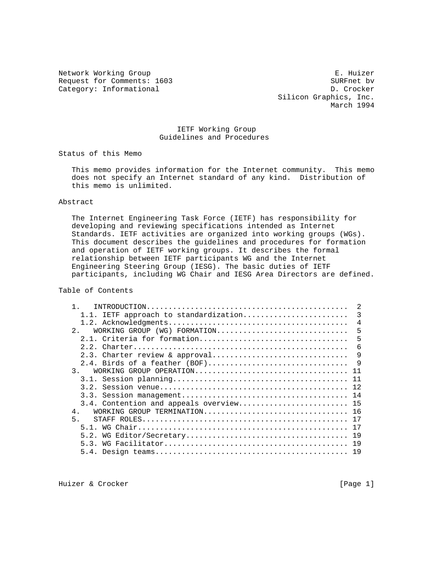Request for Comments: 1603 SURFnet bv Category: Informational

Network Working Group **E. Huizer** E. Huizer Silicon Graphics, Inc. March 1994

# IETF Working Group Guidelines and Procedures

Status of this Memo

 This memo provides information for the Internet community. This memo does not specify an Internet standard of any kind. Distribution of this memo is unlimited.

# Abstract

 The Internet Engineering Task Force (IETF) has responsibility for developing and reviewing specifications intended as Internet Standards. IETF activities are organized into working groups (WGs). This document describes the guidelines and procedures for formation and operation of IETF working groups. It describes the formal relationship between IETF participants WG and the Internet Engineering Steering Group (IESG). The basic duties of IETF participants, including WG Chair and IESG Area Directors are defined.

Table of Contents

| 1.1. IETF approach to standardization   | 3            |
|-----------------------------------------|--------------|
|                                         | 4            |
| 2.<br>WORKING GROUP $(WG)$ FORMATION    | 5            |
|                                         | 5            |
|                                         | 6            |
| 2.3. Charter review & approval          | 9            |
| 2.4. Birds of a feather (BOF)           | $\mathsf{Q}$ |
| 3.<br>WORKING GROUP OPERATION           | 11           |
|                                         | 11           |
|                                         | 12.          |
|                                         |              |
| 3.4. Contention and appeals overview 15 |              |
| WORKING GROUP TERMINATION 16<br>$4$ .   |              |
| 5 <sub>1</sub>                          | 17           |
|                                         | 17           |
| 5.2.                                    | 19           |
| 5.3.                                    | 19           |
|                                         | 19           |

Huizer & Crocker [Page 1]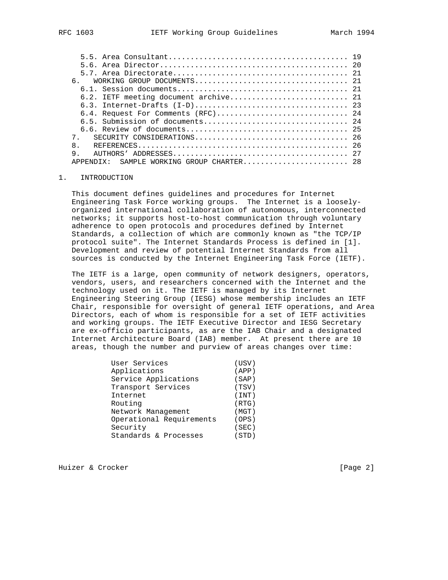|                                       | 20 O |
|---------------------------------------|------|
|                                       |      |
| რ.                                    |      |
|                                       |      |
| 6.2. IETF meeting document archive 21 |      |
|                                       |      |
|                                       |      |
|                                       |      |
|                                       |      |
|                                       |      |
| $\mathsf{R}$                          | 26   |
| 9                                     |      |
|                                       |      |

#### 1. INTRODUCTION

 This document defines guidelines and procedures for Internet Engineering Task Force working groups. The Internet is a loosely organized international collaboration of autonomous, interconnected networks; it supports host-to-host communication through voluntary adherence to open protocols and procedures defined by Internet Standards, a collection of which are commonly known as "the TCP/IP protocol suite". The Internet Standards Process is defined in [1]. Development and review of potential Internet Standards from all sources is conducted by the Internet Engineering Task Force (IETF).

 The IETF is a large, open community of network designers, operators, vendors, users, and researchers concerned with the Internet and the technology used on it. The IETF is managed by its Internet Engineering Steering Group (IESG) whose membership includes an IETF Chair, responsible for oversight of general IETF operations, and Area Directors, each of whom is responsible for a set of IETF activities and working groups. The IETF Executive Director and IESG Secretary are ex-officio participants, as are the IAB Chair and a designated Internet Architecture Board (IAB) member. At present there are 10 areas, though the number and purview of areas changes over time:

| User Services            | (USV) |
|--------------------------|-------|
| Applications             | (APP) |
| Service Applications     | (SAP) |
| Transport Services       | (TSV) |
| Internet                 | (INT) |
| Routing                  | (RTG) |
| Network Management       | (MGT) |
| Operational Requirements | (OPS) |
| Security                 | (SEC) |
| Standards & Processes    | (STD) |

Huizer & Crocker [Page 2]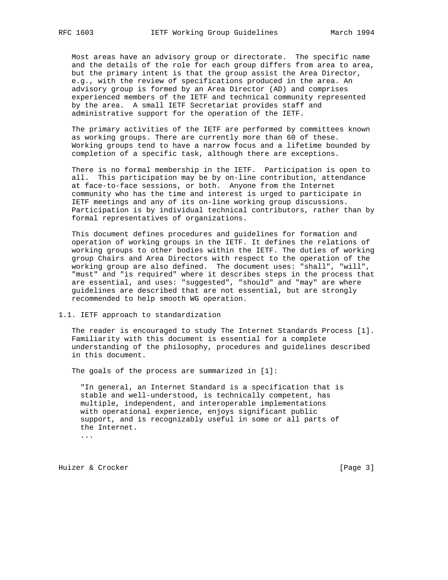Most areas have an advisory group or directorate. The specific name and the details of the role for each group differs from area to area, but the primary intent is that the group assist the Area Director, e.g., with the review of specifications produced in the area. An advisory group is formed by an Area Director (AD) and comprises experienced members of the IETF and technical community represented by the area. A small IETF Secretariat provides staff and administrative support for the operation of the IETF.

 The primary activities of the IETF are performed by committees known as working groups. There are currently more than 60 of these. Working groups tend to have a narrow focus and a lifetime bounded by completion of a specific task, although there are exceptions.

 There is no formal membership in the IETF. Participation is open to all. This participation may be by on-line contribution, attendance at face-to-face sessions, or both. Anyone from the Internet community who has the time and interest is urged to participate in IETF meetings and any of its on-line working group discussions. Participation is by individual technical contributors, rather than by formal representatives of organizations.

 This document defines procedures and guidelines for formation and operation of working groups in the IETF. It defines the relations of working groups to other bodies within the IETF. The duties of working group Chairs and Area Directors with respect to the operation of the working group are also defined. The document uses: "shall", "will", "must" and "is required" where it describes steps in the process that are essential, and uses: "suggested", "should" and "may" are where guidelines are described that are not essential, but are strongly recommended to help smooth WG operation.

#### 1.1. IETF approach to standardization

 The reader is encouraged to study The Internet Standards Process [1]. Familiarity with this document is essential for a complete understanding of the philosophy, procedures and guidelines described in this document.

The goals of the process are summarized in [1]:

 "In general, an Internet Standard is a specification that is stable and well-understood, is technically competent, has multiple, independent, and interoperable implementations with operational experience, enjoys significant public support, and is recognizably useful in some or all parts of the Internet.

...

Huizer & Crocker [Page 3]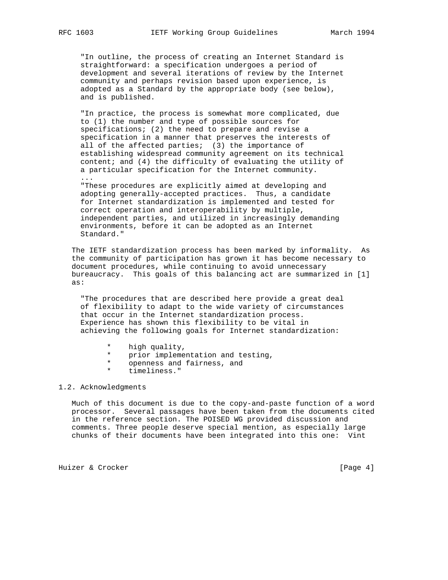"In outline, the process of creating an Internet Standard is straightforward: a specification undergoes a period of development and several iterations of review by the Internet community and perhaps revision based upon experience, is adopted as a Standard by the appropriate body (see below), and is published.

 "In practice, the process is somewhat more complicated, due to (1) the number and type of possible sources for specifications; (2) the need to prepare and revise a specification in a manner that preserves the interests of all of the affected parties; (3) the importance of establishing widespread community agreement on its technical content; and (4) the difficulty of evaluating the utility of a particular specification for the Internet community.

 "These procedures are explicitly aimed at developing and adopting generally-accepted practices. Thus, a candidate for Internet standardization is implemented and tested for correct operation and interoperability by multiple, independent parties, and utilized in increasingly demanding environments, before it can be adopted as an Internet Standard."

 The IETF standardization process has been marked by informality. As the community of participation has grown it has become necessary to document procedures, while continuing to avoid unnecessary bureaucracy. This goals of this balancing act are summarized in [1] as:

 "The procedures that are described here provide a great deal of flexibility to adapt to the wide variety of circumstances that occur in the Internet standardization process. Experience has shown this flexibility to be vital in achieving the following goals for Internet standardization:

- \* high quality,<br>\* prior implement
- \* prior implementation and testing,
- openness and fairness, and
- timeliness."

# 1.2. Acknowledgments

 Much of this document is due to the copy-and-paste function of a word processor. Several passages have been taken from the documents cited in the reference section. The POISED WG provided discussion and comments. Three people deserve special mention, as especially large chunks of their documents have been integrated into this one: Vint

Huizer & Crocker [Page 4]

...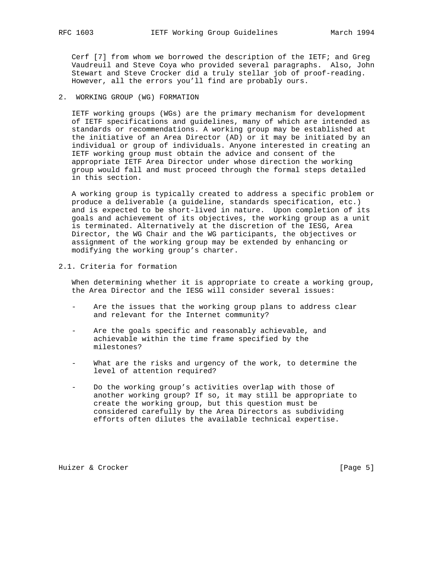Cerf [7] from whom we borrowed the description of the IETF; and Greg Vaudreuil and Steve Coya who provided several paragraphs. Also, John Stewart and Steve Crocker did a truly stellar job of proof-reading. However, all the errors you'll find are probably ours.

2. WORKING GROUP (WG) FORMATION

 IETF working groups (WGs) are the primary mechanism for development of IETF specifications and guidelines, many of which are intended as standards or recommendations. A working group may be established at the initiative of an Area Director (AD) or it may be initiated by an individual or group of individuals. Anyone interested in creating an IETF working group must obtain the advice and consent of the appropriate IETF Area Director under whose direction the working group would fall and must proceed through the formal steps detailed in this section.

 A working group is typically created to address a specific problem or produce a deliverable (a guideline, standards specification, etc.) and is expected to be short-lived in nature. Upon completion of its goals and achievement of its objectives, the working group as a unit is terminated. Alternatively at the discretion of the IESG, Area Director, the WG Chair and the WG participants, the objectives or assignment of the working group may be extended by enhancing or modifying the working group's charter.

2.1. Criteria for formation

 When determining whether it is appropriate to create a working group, the Area Director and the IESG will consider several issues:

- Are the issues that the working group plans to address clear and relevant for the Internet community?
- Are the goals specific and reasonably achievable, and achievable within the time frame specified by the milestones?
- What are the risks and urgency of the work, to determine the level of attention required?
- Do the working group's activities overlap with those of another working group? If so, it may still be appropriate to create the working group, but this question must be considered carefully by the Area Directors as subdividing efforts often dilutes the available technical expertise.

Huizer & Crocker [Page 5]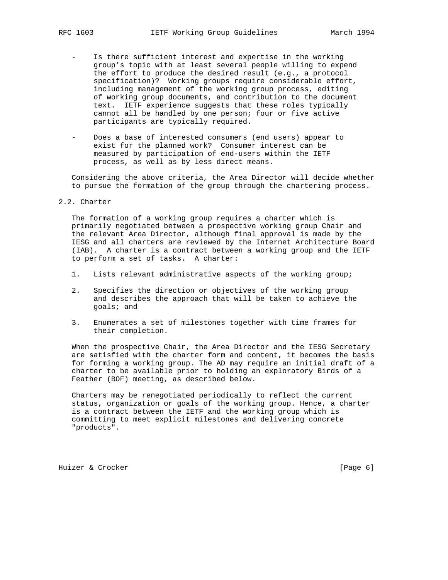- Is there sufficient interest and expertise in the working group's topic with at least several people willing to expend the effort to produce the desired result (e.g., a protocol specification)? Working groups require considerable effort, including management of the working group process, editing of working group documents, and contribution to the document text. IETF experience suggests that these roles typically cannot all be handled by one person; four or five active participants are typically required.
- Does a base of interested consumers (end users) appear to exist for the planned work? Consumer interest can be measured by participation of end-users within the IETF process, as well as by less direct means.

 Considering the above criteria, the Area Director will decide whether to pursue the formation of the group through the chartering process.

## 2.2. Charter

 The formation of a working group requires a charter which is primarily negotiated between a prospective working group Chair and the relevant Area Director, although final approval is made by the IESG and all charters are reviewed by the Internet Architecture Board (IAB). A charter is a contract between a working group and the IETF to perform a set of tasks. A charter:

- 1. Lists relevant administrative aspects of the working group;
- 2. Specifies the direction or objectives of the working group and describes the approach that will be taken to achieve the goals; and
- 3. Enumerates a set of milestones together with time frames for their completion.

 When the prospective Chair, the Area Director and the IESG Secretary are satisfied with the charter form and content, it becomes the basis for forming a working group. The AD may require an initial draft of a charter to be available prior to holding an exploratory Birds of a Feather (BOF) meeting, as described below.

 Charters may be renegotiated periodically to reflect the current status, organization or goals of the working group. Hence, a charter is a contract between the IETF and the working group which is committing to meet explicit milestones and delivering concrete "products".

Huizer & Crocker [Page 6]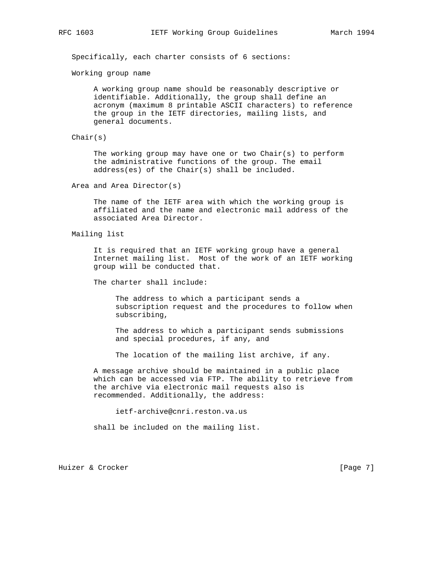Specifically, each charter consists of 6 sections:

Working group name

 A working group name should be reasonably descriptive or identifiable. Additionally, the group shall define an acronym (maximum 8 printable ASCII characters) to reference the group in the IETF directories, mailing lists, and general documents.

Chair(s)

 The working group may have one or two Chair(s) to perform the administrative functions of the group. The email address(es) of the Chair(s) shall be included.

Area and Area Director(s)

 The name of the IETF area with which the working group is affiliated and the name and electronic mail address of the associated Area Director.

Mailing list

 It is required that an IETF working group have a general Internet mailing list. Most of the work of an IETF working group will be conducted that.

The charter shall include:

 The address to which a participant sends a subscription request and the procedures to follow when subscribing,

 The address to which a participant sends submissions and special procedures, if any, and

The location of the mailing list archive, if any.

 A message archive should be maintained in a public place which can be accessed via FTP. The ability to retrieve from the archive via electronic mail requests also is recommended. Additionally, the address:

ietf-archive@cnri.reston.va.us

shall be included on the mailing list.

Huizer & Crocker [Page 7]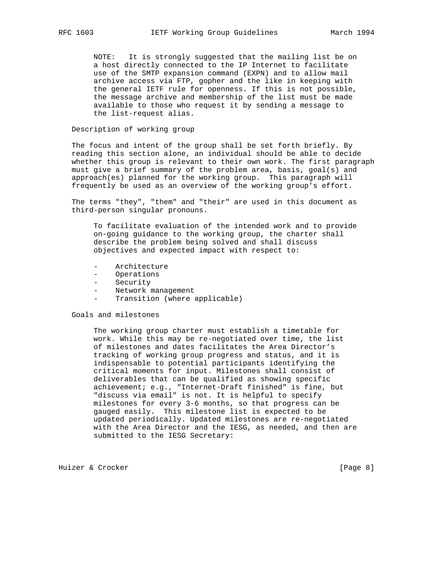NOTE: It is strongly suggested that the mailing list be on a host directly connected to the IP Internet to facilitate use of the SMTP expansion command (EXPN) and to allow mail archive access via FTP, gopher and the like in keeping with the general IETF rule for openness. If this is not possible, the message archive and membership of the list must be made available to those who request it by sending a message to the list-request alias.

# Description of working group

 The focus and intent of the group shall be set forth briefly. By reading this section alone, an individual should be able to decide whether this group is relevant to their own work. The first paragraph must give a brief summary of the problem area, basis, goal(s) and approach(es) planned for the working group. This paragraph will frequently be used as an overview of the working group's effort.

 The terms "they", "them" and "their" are used in this document as third-person singular pronouns.

 To facilitate evaluation of the intended work and to provide on-going guidance to the working group, the charter shall describe the problem being solved and shall discuss objectives and expected impact with respect to:

- Architecture
- Operations
- Security
- Network management
- Transition (where applicable)

## Goals and milestones

 The working group charter must establish a timetable for work. While this may be re-negotiated over time, the list of milestones and dates facilitates the Area Director's tracking of working group progress and status, and it is indispensable to potential participants identifying the critical moments for input. Milestones shall consist of deliverables that can be qualified as showing specific achievement; e.g., "Internet-Draft finished" is fine, but "discuss via email" is not. It is helpful to specify milestones for every 3-6 months, so that progress can be gauged easily. This milestone list is expected to be updated periodically. Updated milestones are re-negotiated with the Area Director and the IESG, as needed, and then are submitted to the IESG Secretary:

Huizer & Crocker [Page 8]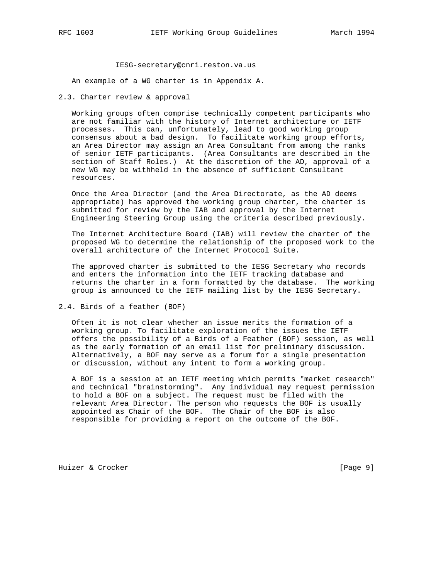#### IESG-secretary@cnri.reston.va.us

An example of a WG charter is in Appendix A.

2.3. Charter review & approval

 Working groups often comprise technically competent participants who are not familiar with the history of Internet architecture or IETF processes. This can, unfortunately, lead to good working group consensus about a bad design. To facilitate working group efforts, an Area Director may assign an Area Consultant from among the ranks of senior IETF participants. (Area Consultants are described in the section of Staff Roles.) At the discretion of the AD, approval of a new WG may be withheld in the absence of sufficient Consultant resources.

 Once the Area Director (and the Area Directorate, as the AD deems appropriate) has approved the working group charter, the charter is submitted for review by the IAB and approval by the Internet Engineering Steering Group using the criteria described previously.

 The Internet Architecture Board (IAB) will review the charter of the proposed WG to determine the relationship of the proposed work to the overall architecture of the Internet Protocol Suite.

 The approved charter is submitted to the IESG Secretary who records and enters the information into the IETF tracking database and returns the charter in a form formatted by the database. The working group is announced to the IETF mailing list by the IESG Secretary.

2.4. Birds of a feather (BOF)

 Often it is not clear whether an issue merits the formation of a working group. To facilitate exploration of the issues the IETF offers the possibility of a Birds of a Feather (BOF) session, as well as the early formation of an email list for preliminary discussion. Alternatively, a BOF may serve as a forum for a single presentation or discussion, without any intent to form a working group.

 A BOF is a session at an IETF meeting which permits "market research" and technical "brainstorming". Any individual may request permission to hold a BOF on a subject. The request must be filed with the relevant Area Director. The person who requests the BOF is usually appointed as Chair of the BOF. The Chair of the BOF is also responsible for providing a report on the outcome of the BOF.

Huizer & Crocker [Page 9]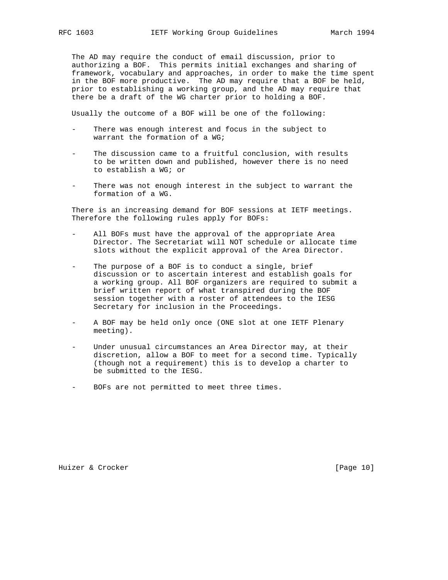The AD may require the conduct of email discussion, prior to authorizing a BOF. This permits initial exchanges and sharing of framework, vocabulary and approaches, in order to make the time spent in the BOF more productive. The AD may require that a BOF be held, prior to establishing a working group, and the AD may require that there be a draft of the WG charter prior to holding a BOF.

Usually the outcome of a BOF will be one of the following:

- There was enough interest and focus in the subject to warrant the formation of a WG;
- The discussion came to a fruitful conclusion, with results to be written down and published, however there is no need to establish a WG; or
- There was not enough interest in the subject to warrant the formation of a WG.

 There is an increasing demand for BOF sessions at IETF meetings. Therefore the following rules apply for BOFs:

- All BOFs must have the approval of the appropriate Area Director. The Secretariat will NOT schedule or allocate time slots without the explicit approval of the Area Director.
- The purpose of a BOF is to conduct a single, brief discussion or to ascertain interest and establish goals for a working group. All BOF organizers are required to submit a brief written report of what transpired during the BOF session together with a roster of attendees to the IESG Secretary for inclusion in the Proceedings.
- A BOF may be held only once (ONE slot at one IETF Plenary meeting).
- Under unusual circumstances an Area Director may, at their discretion, allow a BOF to meet for a second time. Typically (though not a requirement) this is to develop a charter to be submitted to the IESG.
- BOFs are not permitted to meet three times.

Huizer & Crocker [Page 10]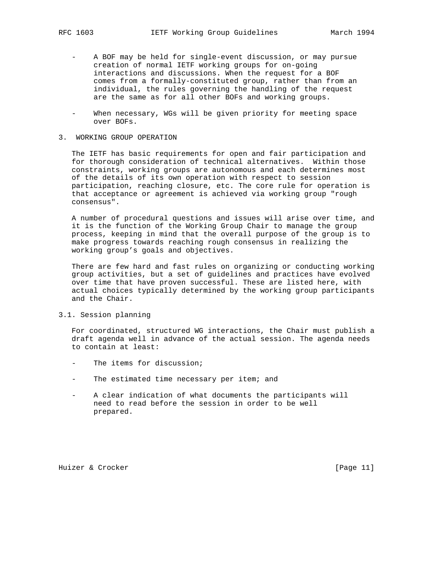- A BOF may be held for single-event discussion, or may pursue creation of normal IETF working groups for on-going interactions and discussions. When the request for a BOF comes from a formally-constituted group, rather than from an individual, the rules governing the handling of the request are the same as for all other BOFs and working groups.
- When necessary, WGs will be given priority for meeting space over BOFs.

# 3. WORKING GROUP OPERATION

 The IETF has basic requirements for open and fair participation and for thorough consideration of technical alternatives. Within those constraints, working groups are autonomous and each determines most of the details of its own operation with respect to session participation, reaching closure, etc. The core rule for operation is that acceptance or agreement is achieved via working group "rough consensus".

 A number of procedural questions and issues will arise over time, and it is the function of the Working Group Chair to manage the group process, keeping in mind that the overall purpose of the group is to make progress towards reaching rough consensus in realizing the working group's goals and objectives.

 There are few hard and fast rules on organizing or conducting working group activities, but a set of guidelines and practices have evolved over time that have proven successful. These are listed here, with actual choices typically determined by the working group participants and the Chair.

3.1. Session planning

 For coordinated, structured WG interactions, the Chair must publish a draft agenda well in advance of the actual session. The agenda needs to contain at least:

- The items for discussion;
- The estimated time necessary per item; and
- A clear indication of what documents the participants will need to read before the session in order to be well prepared.

Huizer & Crocker [Page 11]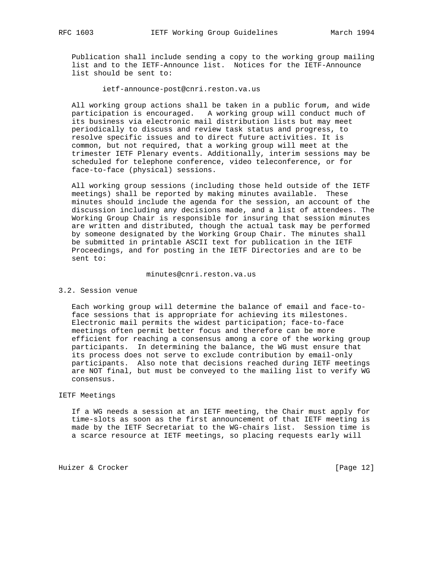Publication shall include sending a copy to the working group mailing list and to the IETF-Announce list. Notices for the IETF-Announce list should be sent to:

ietf-announce-post@cnri.reston.va.us

 All working group actions shall be taken in a public forum, and wide participation is encouraged. A working group will conduct much of its business via electronic mail distribution lists but may meet periodically to discuss and review task status and progress, to resolve specific issues and to direct future activities. It is common, but not required, that a working group will meet at the trimester IETF Plenary events. Additionally, interim sessions may be scheduled for telephone conference, video teleconference, or for face-to-face (physical) sessions.

 All working group sessions (including those held outside of the IETF meetings) shall be reported by making minutes available. These minutes should include the agenda for the session, an account of the discussion including any decisions made, and a list of attendees. The Working Group Chair is responsible for insuring that session minutes are written and distributed, though the actual task may be performed by someone designated by the Working Group Chair. The minutes shall be submitted in printable ASCII text for publication in the IETF Proceedings, and for posting in the IETF Directories and are to be sent to:

#### minutes@cnri.reston.va.us

#### 3.2. Session venue

 Each working group will determine the balance of email and face-to face sessions that is appropriate for achieving its milestones. Electronic mail permits the widest participation; face-to-face meetings often permit better focus and therefore can be more efficient for reaching a consensus among a core of the working group participants. In determining the balance, the WG must ensure that its process does not serve to exclude contribution by email-only participants. Also note that decisions reached during IETF meetings are NOT final, but must be conveyed to the mailing list to verify WG consensus.

## IETF Meetings

 If a WG needs a session at an IETF meeting, the Chair must apply for time-slots as soon as the first announcement of that IETF meeting is made by the IETF Secretariat to the WG-chairs list. Session time is a scarce resource at IETF meetings, so placing requests early will

Huizer & Crocker [Page 12]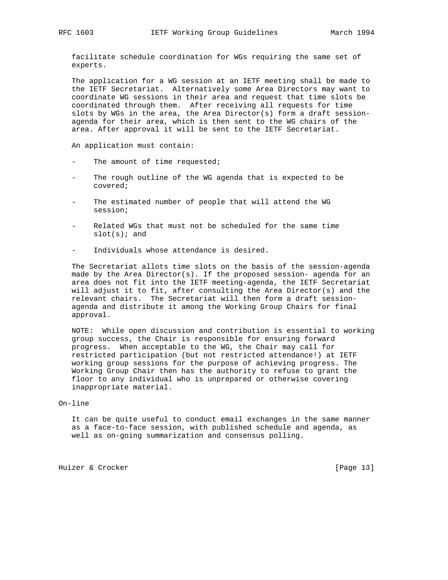facilitate schedule coordination for WGs requiring the same set of experts.

 The application for a WG session at an IETF meeting shall be made to the IETF Secretariat. Alternatively some Area Directors may want to coordinate WG sessions in their area and request that time slots be coordinated through them. After receiving all requests for time slots by WGs in the area, the Area Director(s) form a draft session agenda for their area, which is then sent to the WG chairs of the area. After approval it will be sent to the IETF Secretariat.

An application must contain:

- The amount of time requested;
- The rough outline of the WG agenda that is expected to be covered;
- The estimated number of people that will attend the WG session;
- Related WGs that must not be scheduled for the same time  $slot(s);$  and
- Individuals whose attendance is desired.

 The Secretariat allots time slots on the basis of the session-agenda made by the Area Director(s). If the proposed session- agenda for an area does not fit into the IETF meeting-agenda, the IETF Secretariat will adjust it to fit, after consulting the Area Director(s) and the relevant chairs. The Secretariat will then form a draft session agenda and distribute it among the Working Group Chairs for final approval.

 NOTE: While open discussion and contribution is essential to working group success, the Chair is responsible for ensuring forward progress. When acceptable to the WG, the Chair may call for restricted participation (but not restricted attendance!) at IETF working group sessions for the purpose of achieving progress. The Working Group Chair then has the authority to refuse to grant the floor to any individual who is unprepared or otherwise covering inappropriate material.

## On-line

 It can be quite useful to conduct email exchanges in the same manner as a face-to-face session, with published schedule and agenda, as well as on-going summarization and consensus polling.

Huizer & Crocker [Page 13]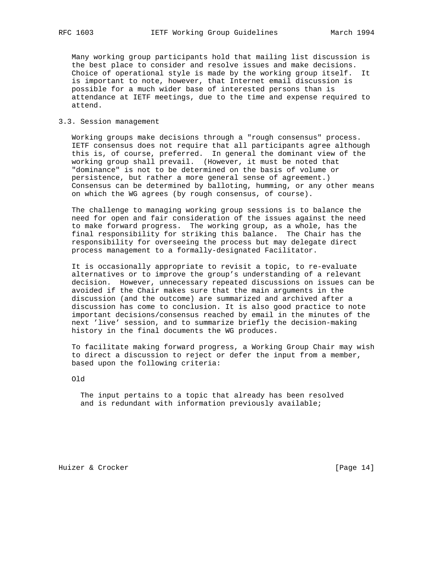Many working group participants hold that mailing list discussion is the best place to consider and resolve issues and make decisions. Choice of operational style is made by the working group itself. It is important to note, however, that Internet email discussion is possible for a much wider base of interested persons than is attendance at IETF meetings, due to the time and expense required to attend.

#### 3.3. Session management

 Working groups make decisions through a "rough consensus" process. IETF consensus does not require that all participants agree although this is, of course, preferred. In general the dominant view of the working group shall prevail. (However, it must be noted that "dominance" is not to be determined on the basis of volume or persistence, but rather a more general sense of agreement.) Consensus can be determined by balloting, humming, or any other means on which the WG agrees (by rough consensus, of course).

 The challenge to managing working group sessions is to balance the need for open and fair consideration of the issues against the need to make forward progress. The working group, as a whole, has the final responsibility for striking this balance. The Chair has the responsibility for overseeing the process but may delegate direct process management to a formally-designated Facilitator.

 It is occasionally appropriate to revisit a topic, to re-evaluate alternatives or to improve the group's understanding of a relevant decision. However, unnecessary repeated discussions on issues can be avoided if the Chair makes sure that the main arguments in the discussion (and the outcome) are summarized and archived after a discussion has come to conclusion. It is also good practice to note important decisions/consensus reached by email in the minutes of the next 'live' session, and to summarize briefly the decision-making history in the final documents the WG produces.

 To facilitate making forward progress, a Working Group Chair may wish to direct a discussion to reject or defer the input from a member, based upon the following criteria:

Old

 The input pertains to a topic that already has been resolved and is redundant with information previously available;

Huizer & Crocker [Page 14]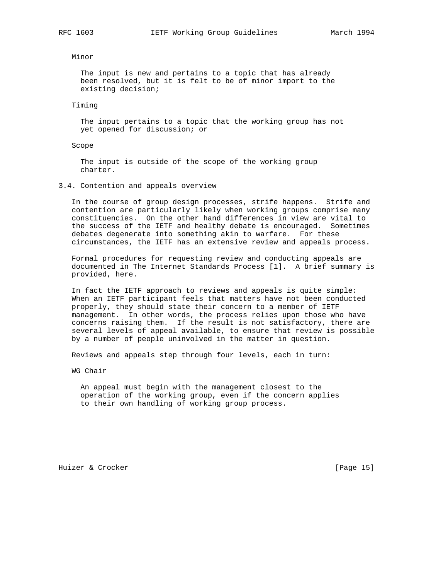Minor

 The input is new and pertains to a topic that has already been resolved, but it is felt to be of minor import to the existing decision;

Timing

 The input pertains to a topic that the working group has not yet opened for discussion; or

# Scope

 The input is outside of the scope of the working group charter.

3.4. Contention and appeals overview

 In the course of group design processes, strife happens. Strife and contention are particularly likely when working groups comprise many constituencies. On the other hand differences in view are vital to the success of the IETF and healthy debate is encouraged. Sometimes debates degenerate into something akin to warfare. For these circumstances, the IETF has an extensive review and appeals process.

 Formal procedures for requesting review and conducting appeals are documented in The Internet Standards Process [1]. A brief summary is provided, here.

 In fact the IETF approach to reviews and appeals is quite simple: When an IETF participant feels that matters have not been conducted properly, they should state their concern to a member of IETF management. In other words, the process relies upon those who have concerns raising them. If the result is not satisfactory, there are several levels of appeal available, to ensure that review is possible by a number of people uninvolved in the matter in question.

Reviews and appeals step through four levels, each in turn:

WG Chair

 An appeal must begin with the management closest to the operation of the working group, even if the concern applies to their own handling of working group process.

Huizer & Crocker [Page 15]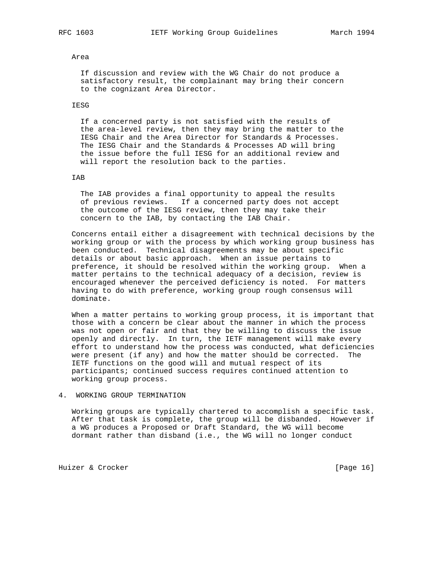#### Area

 If discussion and review with the WG Chair do not produce a satisfactory result, the complainant may bring their concern to the cognizant Area Director.

#### IESG

 If a concerned party is not satisfied with the results of the area-level review, then they may bring the matter to the IESG Chair and the Area Director for Standards & Processes. The IESG Chair and the Standards & Processes AD will bring the issue before the full IESG for an additional review and will report the resolution back to the parties.

#### IAB

 The IAB provides a final opportunity to appeal the results of previous reviews. If a concerned party does not accept the outcome of the IESG review, then they may take their concern to the IAB, by contacting the IAB Chair.

 Concerns entail either a disagreement with technical decisions by the working group or with the process by which working group business has been conducted. Technical disagreements may be about specific details or about basic approach. When an issue pertains to preference, it should be resolved within the working group. When a matter pertains to the technical adequacy of a decision, review is encouraged whenever the perceived deficiency is noted. For matters having to do with preference, working group rough consensus will dominate.

 When a matter pertains to working group process, it is important that those with a concern be clear about the manner in which the process was not open or fair and that they be willing to discuss the issue openly and directly. In turn, the IETF management will make every effort to understand how the process was conducted, what deficiencies were present (if any) and how the matter should be corrected. The IETF functions on the good will and mutual respect of its participants; continued success requires continued attention to working group process.

# 4. WORKING GROUP TERMINATION

 Working groups are typically chartered to accomplish a specific task. After that task is complete, the group will be disbanded. However if a WG produces a Proposed or Draft Standard, the WG will become dormant rather than disband (i.e., the WG will no longer conduct

Huizer & Crocker [Page 16]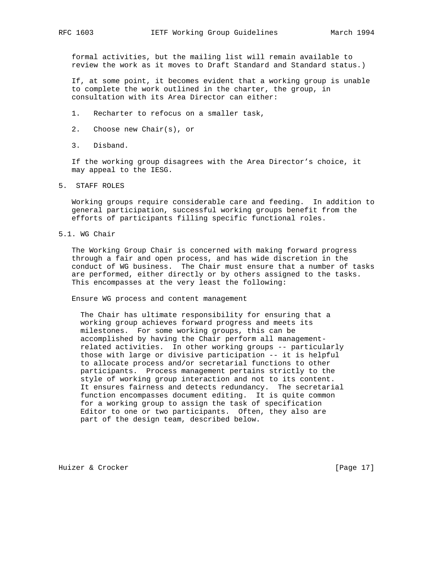formal activities, but the mailing list will remain available to review the work as it moves to Draft Standard and Standard status.)

 If, at some point, it becomes evident that a working group is unable to complete the work outlined in the charter, the group, in consultation with its Area Director can either:

- 1. Recharter to refocus on a smaller task,
- 2. Choose new Chair(s), or
- 3. Disband.

 If the working group disagrees with the Area Director's choice, it may appeal to the IESG.

5. STAFF ROLES

 Working groups require considerable care and feeding. In addition to general participation, successful working groups benefit from the efforts of participants filling specific functional roles.

5.1. WG Chair

 The Working Group Chair is concerned with making forward progress through a fair and open process, and has wide discretion in the conduct of WG business. The Chair must ensure that a number of tasks are performed, either directly or by others assigned to the tasks. This encompasses at the very least the following:

Ensure WG process and content management

 The Chair has ultimate responsibility for ensuring that a working group achieves forward progress and meets its milestones. For some working groups, this can be accomplished by having the Chair perform all management related activities. In other working groups -- particularly those with large or divisive participation -- it is helpful to allocate process and/or secretarial functions to other participants. Process management pertains strictly to the style of working group interaction and not to its content. It ensures fairness and detects redundancy. The secretarial function encompasses document editing. It is quite common for a working group to assign the task of specification Editor to one or two participants. Often, they also are part of the design team, described below.

Huizer & Crocker [Page 17]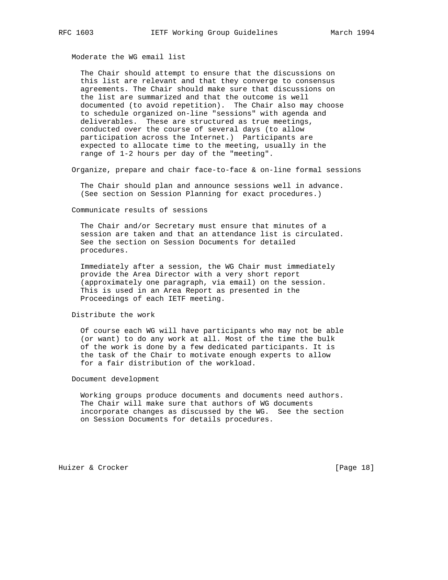Moderate the WG email list

 The Chair should attempt to ensure that the discussions on this list are relevant and that they converge to consensus agreements. The Chair should make sure that discussions on the list are summarized and that the outcome is well documented (to avoid repetition). The Chair also may choose to schedule organized on-line "sessions" with agenda and deliverables. These are structured as true meetings, conducted over the course of several days (to allow participation across the Internet.) Participants are expected to allocate time to the meeting, usually in the range of 1-2 hours per day of the "meeting".

Organize, prepare and chair face-to-face & on-line formal sessions

 The Chair should plan and announce sessions well in advance. (See section on Session Planning for exact procedures.)

Communicate results of sessions

 The Chair and/or Secretary must ensure that minutes of a session are taken and that an attendance list is circulated. See the section on Session Documents for detailed procedures.

 Immediately after a session, the WG Chair must immediately provide the Area Director with a very short report (approximately one paragraph, via email) on the session. This is used in an Area Report as presented in the Proceedings of each IETF meeting.

#### Distribute the work

 Of course each WG will have participants who may not be able (or want) to do any work at all. Most of the time the bulk of the work is done by a few dedicated participants. It is the task of the Chair to motivate enough experts to allow for a fair distribution of the workload.

# Document development

 Working groups produce documents and documents need authors. The Chair will make sure that authors of WG documents incorporate changes as discussed by the WG. See the section on Session Documents for details procedures.

Huizer & Crocker [Page 18]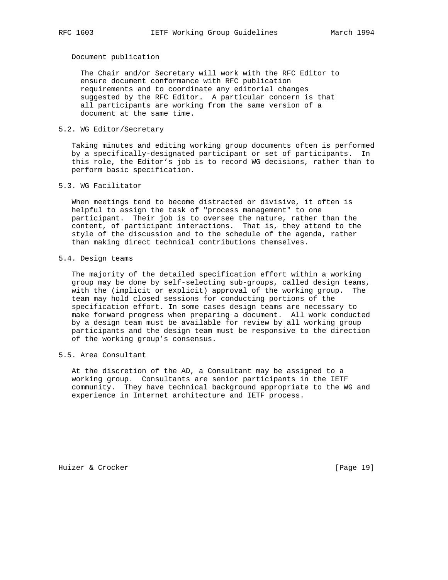Document publication

 The Chair and/or Secretary will work with the RFC Editor to ensure document conformance with RFC publication requirements and to coordinate any editorial changes suggested by the RFC Editor. A particular concern is that all participants are working from the same version of a document at the same time.

# 5.2. WG Editor/Secretary

 Taking minutes and editing working group documents often is performed by a specifically-designated participant or set of participants. In this role, the Editor's job is to record WG decisions, rather than to perform basic specification.

5.3. WG Facilitator

 When meetings tend to become distracted or divisive, it often is helpful to assign the task of "process management" to one participant. Their job is to oversee the nature, rather than the content, of participant interactions. That is, they attend to the style of the discussion and to the schedule of the agenda, rather than making direct technical contributions themselves.

#### 5.4. Design teams

 The majority of the detailed specification effort within a working group may be done by self-selecting sub-groups, called design teams, with the (implicit or explicit) approval of the working group. The team may hold closed sessions for conducting portions of the specification effort. In some cases design teams are necessary to make forward progress when preparing a document. All work conducted by a design team must be available for review by all working group participants and the design team must be responsive to the direction of the working group's consensus.

5.5. Area Consultant

 At the discretion of the AD, a Consultant may be assigned to a working group. Consultants are senior participants in the IETF community. They have technical background appropriate to the WG and experience in Internet architecture and IETF process.

Huizer & Crocker [Page 19]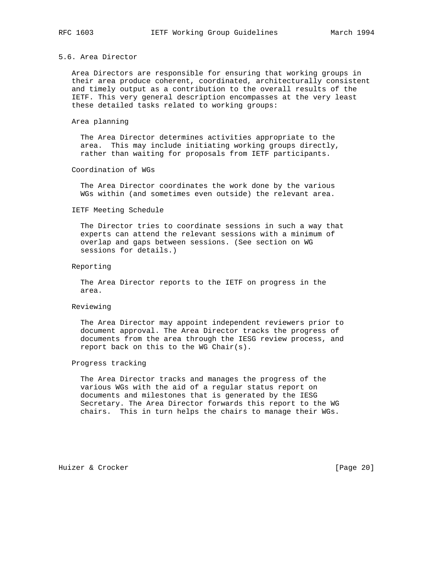# 5.6. Area Director

 Area Directors are responsible for ensuring that working groups in their area produce coherent, coordinated, architecturally consistent and timely output as a contribution to the overall results of the IETF. This very general description encompasses at the very least these detailed tasks related to working groups:

#### Area planning

 The Area Director determines activities appropriate to the area. This may include initiating working groups directly, rather than waiting for proposals from IETF participants.

#### Coordination of WGs

 The Area Director coordinates the work done by the various WGs within (and sometimes even outside) the relevant area.

## IETF Meeting Schedule

 The Director tries to coordinate sessions in such a way that experts can attend the relevant sessions with a minimum of overlap and gaps between sessions. (See section on WG sessions for details.)

#### Reporting

 The Area Director reports to the IETF on progress in the area.

#### Reviewing

 The Area Director may appoint independent reviewers prior to document approval. The Area Director tracks the progress of documents from the area through the IESG review process, and report back on this to the WG Chair(s).

#### Progress tracking

 The Area Director tracks and manages the progress of the various WGs with the aid of a regular status report on documents and milestones that is generated by the IESG Secretary. The Area Director forwards this report to the WG chairs. This in turn helps the chairs to manage their WGs.

Huizer & Crocker [Page 20]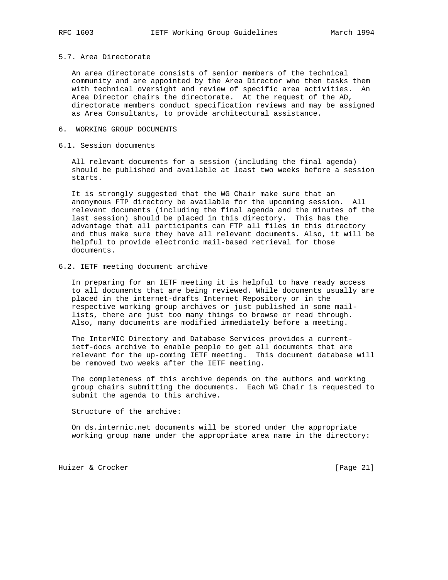#### 5.7. Area Directorate

 An area directorate consists of senior members of the technical community and are appointed by the Area Director who then tasks them with technical oversight and review of specific area activities. An Area Director chairs the directorate. At the request of the AD, directorate members conduct specification reviews and may be assigned as Area Consultants, to provide architectural assistance.

## 6. WORKING GROUP DOCUMENTS

## 6.1. Session documents

 All relevant documents for a session (including the final agenda) should be published and available at least two weeks before a session starts.

 It is strongly suggested that the WG Chair make sure that an anonymous FTP directory be available for the upcoming session. All relevant documents (including the final agenda and the minutes of the last session) should be placed in this directory. This has the advantage that all participants can FTP all files in this directory and thus make sure they have all relevant documents. Also, it will be helpful to provide electronic mail-based retrieval for those documents.

#### 6.2. IETF meeting document archive

 In preparing for an IETF meeting it is helpful to have ready access to all documents that are being reviewed. While documents usually are placed in the internet-drafts Internet Repository or in the respective working group archives or just published in some mail lists, there are just too many things to browse or read through. Also, many documents are modified immediately before a meeting.

 The InterNIC Directory and Database Services provides a current ietf-docs archive to enable people to get all documents that are relevant for the up-coming IETF meeting. This document database will be removed two weeks after the IETF meeting.

 The completeness of this archive depends on the authors and working group chairs submitting the documents. Each WG Chair is requested to submit the agenda to this archive.

Structure of the archive:

 On ds.internic.net documents will be stored under the appropriate working group name under the appropriate area name in the directory:

Huizer & Crocker [Page 21]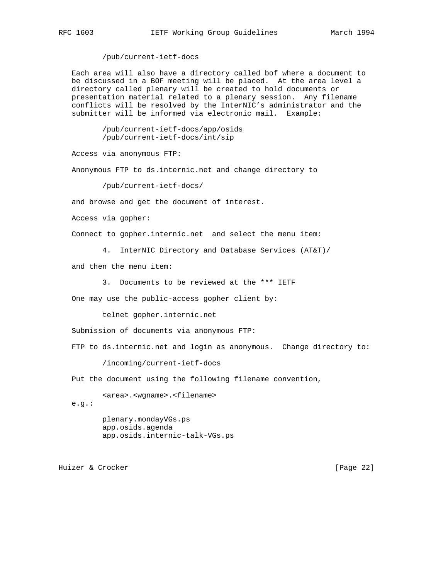/pub/current-ietf-docs

 Each area will also have a directory called bof where a document to be discussed in a BOF meeting will be placed. At the area level a directory called plenary will be created to hold documents or presentation material related to a plenary session. Any filename conflicts will be resolved by the InterNIC's administrator and the submitter will be informed via electronic mail. Example:

> /pub/current-ietf-docs/app/osids /pub/current-ietf-docs/int/sip

Access via anonymous FTP:

Anonymous FTP to ds.internic.net and change directory to

/pub/current-ietf-docs/

and browse and get the document of interest.

Access via gopher:

Connect to gopher.internic.net and select the menu item:

4. InterNIC Directory and Database Services (AT&T)/

and then the menu item:

3. Documents to be reviewed at the \*\*\* IETF

One may use the public-access gopher client by:

telnet gopher.internic.net

Submission of documents via anonymous FTP:

FTP to ds.internic.net and login as anonymous. Change directory to:

/incoming/current-ietf-docs

Put the document using the following filename convention,

<area>.<wgname>.<filename>

e.g.:

 plenary.mondayVGs.ps app.osids.agenda app.osids.internic-talk-VGs.ps

Huizer & Crocker [Page 22]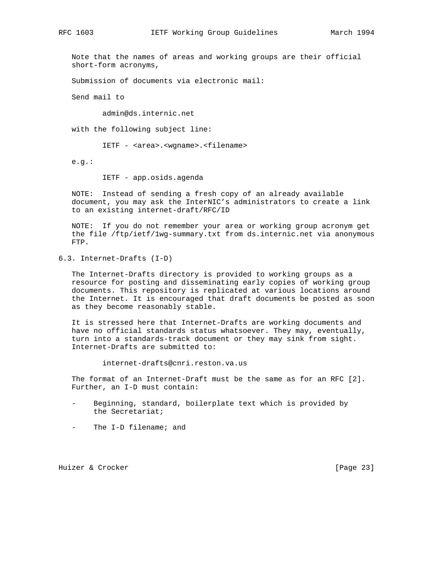Note that the names of areas and working groups are their official short-form acronyms,

Submission of documents via electronic mail:

Send mail to

admin@ds.internic.net

with the following subject line:

IETF - <area>.<wgname>.<filename>

e.g.:

IETF - app.osids.agenda

 NOTE: Instead of sending a fresh copy of an already available document, you may ask the InterNIC's administrators to create a link to an existing internet-draft/RFC/ID

 NOTE: If you do not remember your area or working group acronym get the file /ftp/ietf/1wg-summary.txt from ds.internic.net via anonymous FTP.

6.3. Internet-Drafts (I-D)

 The Internet-Drafts directory is provided to working groups as a resource for posting and disseminating early copies of working group documents. This repository is replicated at various locations around the Internet. It is encouraged that draft documents be posted as soon as they become reasonably stable.

 It is stressed here that Internet-Drafts are working documents and have no official standards status whatsoever. They may, eventually, turn into a standards-track document or they may sink from sight. Internet-Drafts are submitted to:

internet-drafts@cnri.reston.va.us

 The format of an Internet-Draft must be the same as for an RFC [2]. Further, an I-D must contain:

- Beginning, standard, boilerplate text which is provided by the Secretariat;
- The I-D filename; and

Huizer & Crocker [Page 23]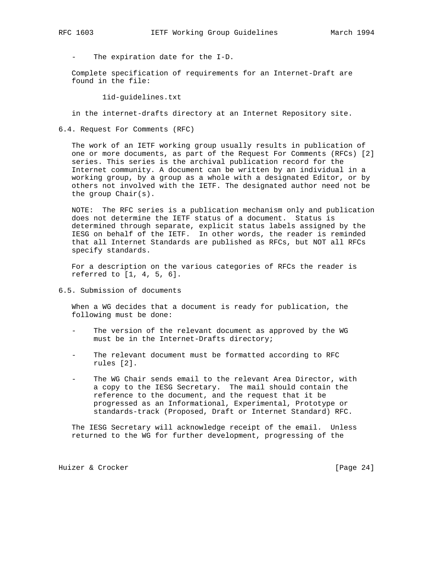The expiration date for the I-D.

 Complete specification of requirements for an Internet-Draft are found in the file:

1id-guidelines.txt

in the internet-drafts directory at an Internet Repository site.

6.4. Request For Comments (RFC)

 The work of an IETF working group usually results in publication of one or more documents, as part of the Request For Comments (RFCs) [2] series. This series is the archival publication record for the Internet community. A document can be written by an individual in a working group, by a group as a whole with a designated Editor, or by others not involved with the IETF. The designated author need not be the group Chair(s).

 NOTE: The RFC series is a publication mechanism only and publication does not determine the IETF status of a document. Status is determined through separate, explicit status labels assigned by the IESG on behalf of the IETF. In other words, the reader is reminded that all Internet Standards are published as RFCs, but NOT all RFCs specify standards.

 For a description on the various categories of RFCs the reader is referred to [1, 4, 5, 6].

6.5. Submission of documents

 When a WG decides that a document is ready for publication, the following must be done:

- The version of the relevant document as approved by the WG must be in the Internet-Drafts directory;
- The relevant document must be formatted according to RFC rules [2].
- The WG Chair sends email to the relevant Area Director, with a copy to the IESG Secretary. The mail should contain the reference to the document, and the request that it be progressed as an Informational, Experimental, Prototype or standards-track (Proposed, Draft or Internet Standard) RFC.

 The IESG Secretary will acknowledge receipt of the email. Unless returned to the WG for further development, progressing of the

Huizer & Crocker [Page 24]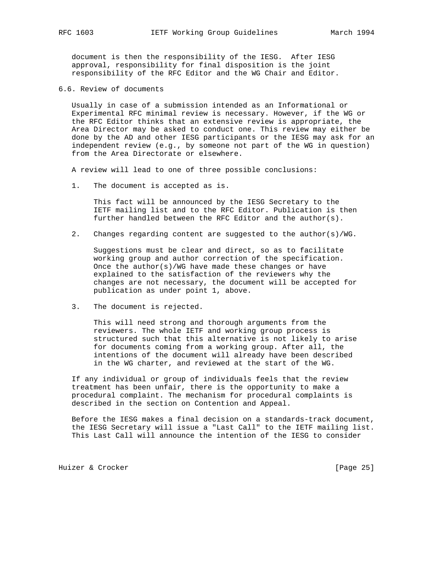document is then the responsibility of the IESG. After IESG approval, responsibility for final disposition is the joint responsibility of the RFC Editor and the WG Chair and Editor.

6.6. Review of documents

 Usually in case of a submission intended as an Informational or Experimental RFC minimal review is necessary. However, if the WG or the RFC Editor thinks that an extensive review is appropriate, the Area Director may be asked to conduct one. This review may either be done by the AD and other IESG participants or the IESG may ask for an independent review (e.g., by someone not part of the WG in question) from the Area Directorate or elsewhere.

A review will lead to one of three possible conclusions:

1. The document is accepted as is.

 This fact will be announced by the IESG Secretary to the IETF mailing list and to the RFC Editor. Publication is then further handled between the RFC Editor and the author(s).

2. Changes regarding content are suggested to the author(s)/WG.

 Suggestions must be clear and direct, so as to facilitate working group and author correction of the specification. Once the author(s)/WG have made these changes or have explained to the satisfaction of the reviewers why the changes are not necessary, the document will be accepted for publication as under point 1, above.

3. The document is rejected.

 This will need strong and thorough arguments from the reviewers. The whole IETF and working group process is structured such that this alternative is not likely to arise for documents coming from a working group. After all, the intentions of the document will already have been described in the WG charter, and reviewed at the start of the WG.

 If any individual or group of individuals feels that the review treatment has been unfair, there is the opportunity to make a procedural complaint. The mechanism for procedural complaints is described in the section on Contention and Appeal.

 Before the IESG makes a final decision on a standards-track document, the IESG Secretary will issue a "Last Call" to the IETF mailing list. This Last Call will announce the intention of the IESG to consider

Huizer & Crocker [Page 25]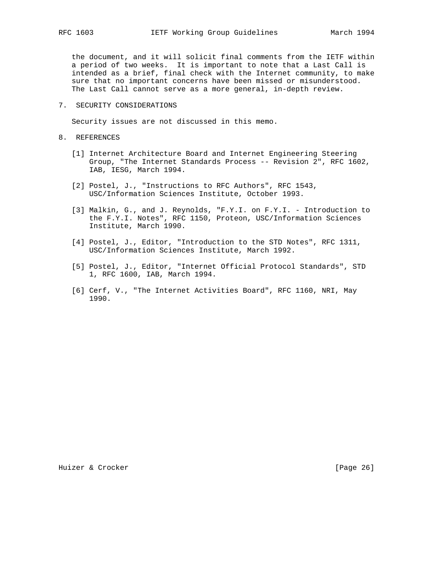the document, and it will solicit final comments from the IETF within a period of two weeks. It is important to note that a Last Call is intended as a brief, final check with the Internet community, to make sure that no important concerns have been missed or misunderstood. The Last Call cannot serve as a more general, in-depth review.

7. SECURITY CONSIDERATIONS

Security issues are not discussed in this memo.

- 8. REFERENCES
	- [1] Internet Architecture Board and Internet Engineering Steering Group, "The Internet Standards Process -- Revision 2", RFC 1602, IAB, IESG, March 1994.
	- [2] Postel, J., "Instructions to RFC Authors", RFC 1543, USC/Information Sciences Institute, October 1993.
	- [3] Malkin, G., and J. Reynolds, "F.Y.I. on F.Y.I. Introduction to the F.Y.I. Notes", RFC 1150, Proteon, USC/Information Sciences Institute, March 1990.
	- [4] Postel, J., Editor, "Introduction to the STD Notes", RFC 1311, USC/Information Sciences Institute, March 1992.
	- [5] Postel, J., Editor, "Internet Official Protocol Standards", STD 1, RFC 1600, IAB, March 1994.
	- [6] Cerf, V., "The Internet Activities Board", RFC 1160, NRI, May 1990.

Huizer & Crocker [Page 26]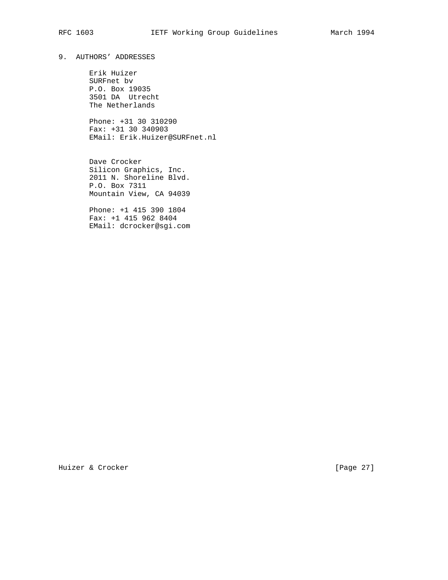# 9. AUTHORS' ADDRESSES

 Erik Huizer SURFnet bv P.O. Box 19035 3501 DA Utrecht The Netherlands

 Phone: +31 30 310290 Fax: +31 30 340903 EMail: Erik.Huizer@SURFnet.nl

 Dave Crocker Silicon Graphics, Inc. 2011 N. Shoreline Blvd. P.O. Box 7311 Mountain View, CA 94039

 Phone: +1 415 390 1804 Fax: +1 415 962 8404 EMail: dcrocker@sgi.com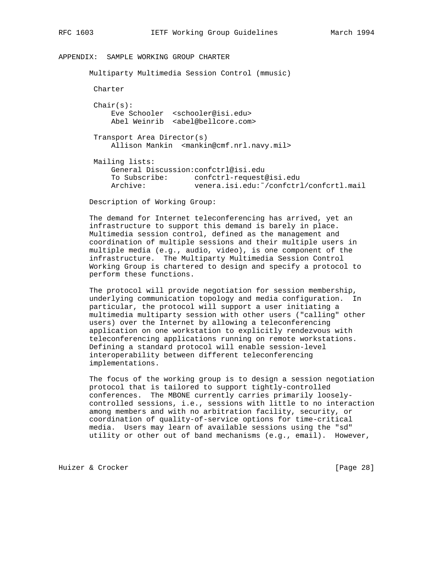# APPENDIX: SAMPLE WORKING GROUP CHARTER

 Multiparty Multimedia Session Control (mmusic) Charter  $Chair(s):$  Eve Schooler <schooler@isi.edu> Abel Weinrib <abel@bellcore.com> Transport Area Director(s) Allison Mankin <mankin@cmf.nrl.navy.mil> Mailing lists: General Discussion:confctrl@isi.edu To Subscribe: confctrl-request@isi.edu Archive: venera.isi.edu:˜/confctrl/confcrtl.mail

Description of Working Group:

 The demand for Internet teleconferencing has arrived, yet an infrastructure to support this demand is barely in place. Multimedia session control, defined as the management and coordination of multiple sessions and their multiple users in multiple media (e.g., audio, video), is one component of the infrastructure. The Multiparty Multimedia Session Control Working Group is chartered to design and specify a protocol to perform these functions.

 The protocol will provide negotiation for session membership, underlying communication topology and media configuration. In particular, the protocol will support a user initiating a multimedia multiparty session with other users ("calling" other users) over the Internet by allowing a teleconferencing application on one workstation to explicitly rendezvous with teleconferencing applications running on remote workstations. Defining a standard protocol will enable session-level interoperability between different teleconferencing implementations.

 The focus of the working group is to design a session negotiation protocol that is tailored to support tightly-controlled conferences. The MBONE currently carries primarily loosely controlled sessions, i.e., sessions with little to no interaction among members and with no arbitration facility, security, or coordination of quality-of-service options for time-critical media. Users may learn of available sessions using the "sd" utility or other out of band mechanisms (e.g., email). However,

Huizer & Crocker [Page 28]